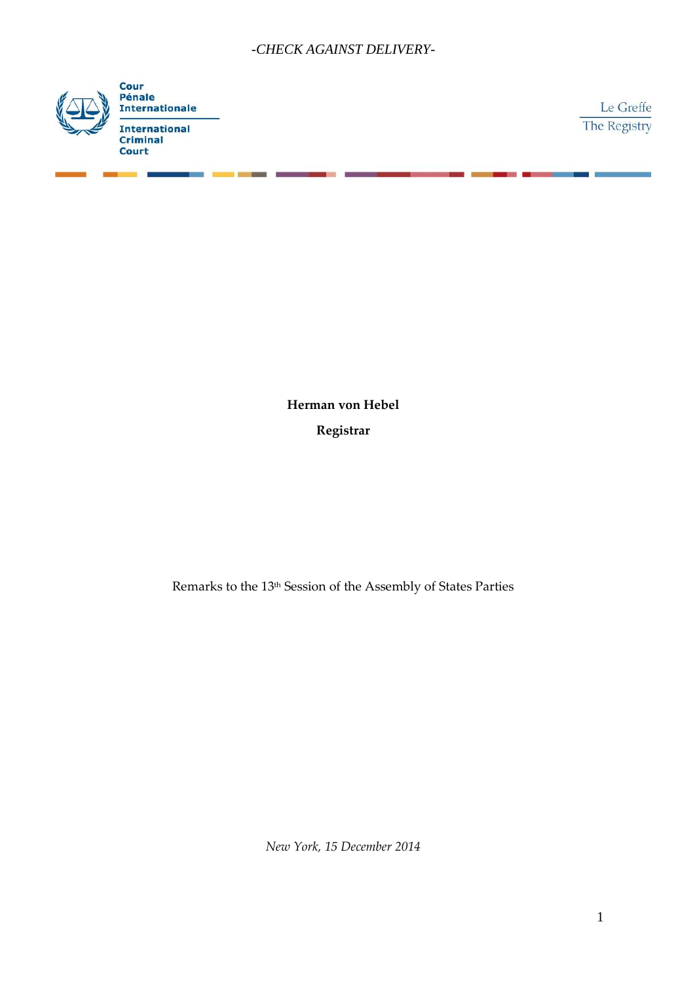

Le Greffe The Registry

**Herman von Hebel Registrar**

Remarks to the 13<sup>th</sup> Session of the Assembly of States Parties

*New York, 15 December 2014*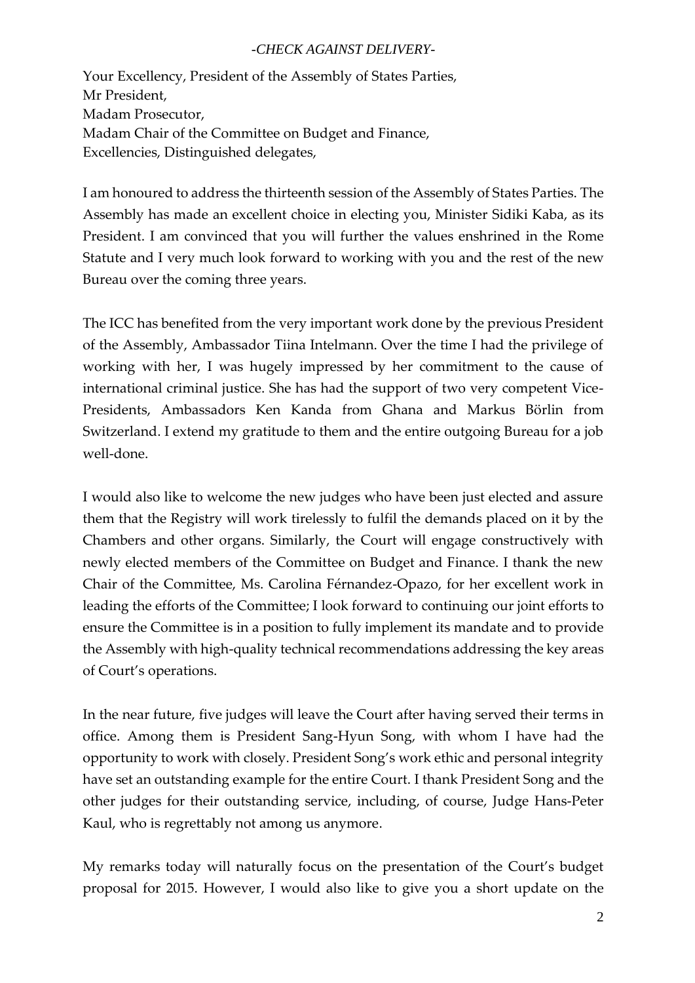Your Excellency, President of the Assembly of States Parties, Mr President, Madam Prosecutor, Madam Chair of the Committee on Budget and Finance, Excellencies, Distinguished delegates,

I am honoured to address the thirteenth session of the Assembly of States Parties. The Assembly has made an excellent choice in electing you, Minister Sidiki Kaba, as its President. I am convinced that you will further the values enshrined in the Rome Statute and I very much look forward to working with you and the rest of the new Bureau over the coming three years.

The ICC has benefited from the very important work done by the previous President of the Assembly, Ambassador Tiina Intelmann. Over the time I had the privilege of working with her, I was hugely impressed by her commitment to the cause of international criminal justice. She has had the support of two very competent Vice- Presidents, Ambassadors Ken Kanda from Ghana and Markus Börlin from Switzerland. I extend my gratitude to them and the entire outgoing Bureau for a job well-done.

I would also like to welcome the new judges who have been just elected and assure them that the Registry will work tirelessly to fulfil the demands placed on it by the Chambers and other organs. Similarly, the Court will engage constructively with newly elected members of the Committee on Budget and Finance. I thank the new Chair of the Committee, Ms. Carolina Férnandez-Opazo, for her excellent work in leading the efforts of the Committee; I look forward to continuing our joint efforts to ensure the Committee is in a position to fully implement its mandate and to provide the Assembly with high-quality technical recommendations addressing the key areas of Court's operations.

In the near future, five judges will leave the Court after having served their terms in office. Among them is President Sang-Hyun Song, with whom I have had the opportunity to work with closely. President Song's work ethic and personal integrity have set an outstanding example for the entire Court. I thank President Song and the other judges for their outstanding service, including, of course, Judge Hans-Peter Kaul, who is regrettably not among us anymore.

My remarks today will naturally focus on the presentation of the Court's budget proposal for 2015. However, I would also like to give you a short update on the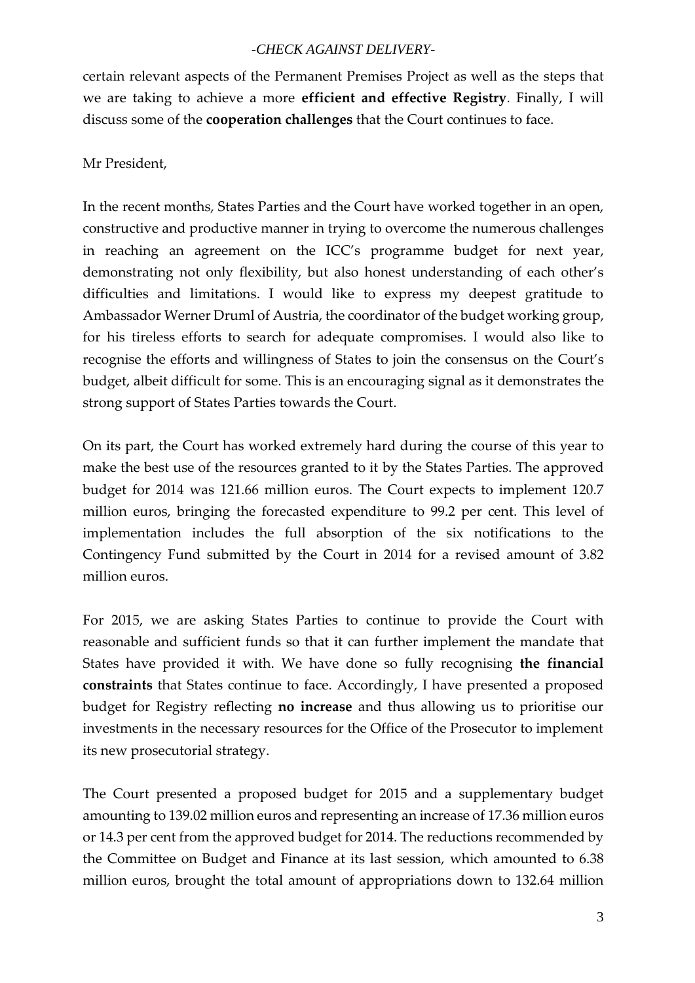certain relevant aspects of the Permanent Premises Project as well as the steps that we are taking to achieve a more **efficient and effective Registry**. Finally, I will discuss some of the **cooperation challenges** that the Court continues to face.

# Mr President,

In the recent months, States Parties and the Court have worked together in an open, constructive and productive manner in trying to overcome the numerous challenges in reaching an agreement on the ICC's programme budget for next year, demonstrating not only flexibility, but also honest understanding of each other's difficulties and limitations. I would like to express my deepest gratitude to Ambassador Werner Druml of Austria, the coordinator of the budget working group, for his tireless efforts to search for adequate compromises. I would also like to recognise the efforts and willingness of States to join the consensus on the Court's budget, albeit difficult for some. This is an encouraging signal as it demonstrates the strong support of States Parties towards the Court.

On its part, the Court has worked extremely hard during the course of this year to make the best use of the resources granted to it by the States Parties. The approved budget for 2014 was 121.66 million euros. The Court expects to implement 120.7 million euros, bringing the forecasted expenditure to 99.2 per cent. This level of implementation includes the full absorption of the six notifications to the Contingency Fund submitted by the Court in 2014 for a revised amount of 3.82 million euros.

For 2015, we are asking States Parties to continue to provide the Court with reasonable and sufficient funds so that it can further implement the mandate that States have provided it with. We have done so fully recognising **the financial constraints** that States continue to face. Accordingly, I have presented a proposed budget for Registry reflecting **no increase** and thus allowing us to prioritise our investments in the necessary resources for the Office of the Prosecutor to implement its new prosecutorial strategy.

The Court presented a proposed budget for 2015 and a supplementary budget amounting to 139.02 million euros and representing an increase of 17.36 million euros or 14.3 per cent from the approved budget for 2014. The reductions recommended by the Committee on Budget and Finance at its last session, which amounted to 6.38 million euros, brought the total amount of appropriations down to 132.64 million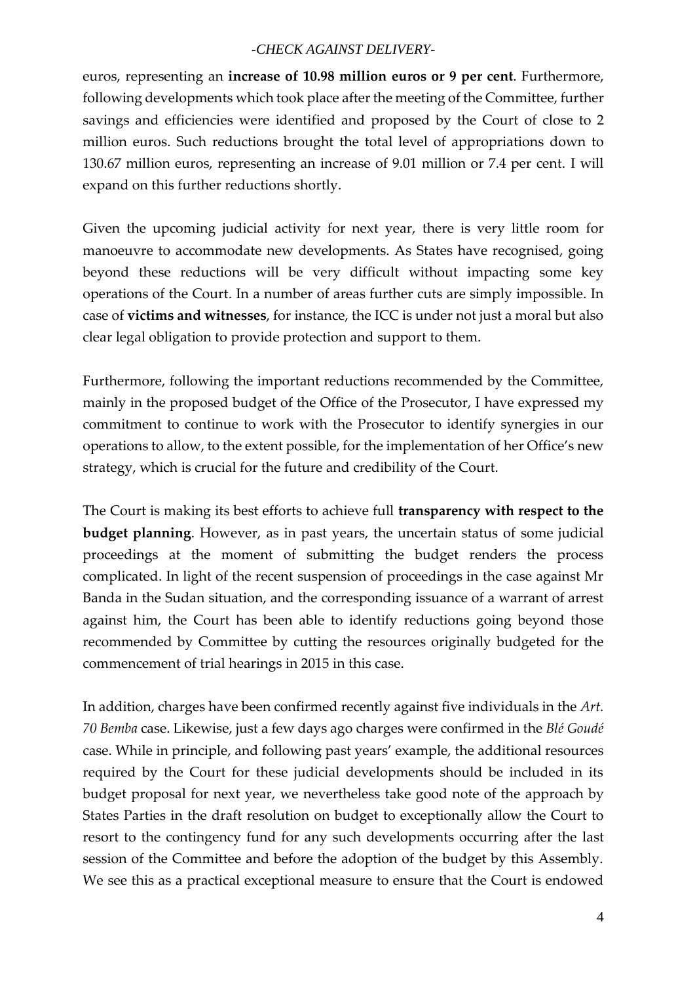euros, representing an **increase of 10.98 million euros or 9 per cent**. Furthermore, following developments which took place after the meeting of the Committee, further savings and efficiencies were identified and proposed by the Court of close to 2 million euros. Such reductions brought the total level of appropriations down to 130.67 million euros, representing an increase of 9.01 million or 7.4 per cent. I will expand on this further reductions shortly.

Given the upcoming judicial activity for next year, there is very little room for manoeuvre to accommodate new developments. As States have recognised, going beyond these reductions will be very difficult without impacting some key operations of the Court. In a number of areas further cuts are simply impossible. In case of **victims and witnesses**, for instance, the ICC is under not just a moral but also clear legal obligation to provide protection and support to them.

Furthermore, following the important reductions recommended by the Committee, mainly in the proposed budget of the Office of the Prosecutor, I have expressed my commitment to continue to work with the Prosecutor to identify synergies in our operations to allow, to the extent possible, for the implementation of her Office's new strategy, which is crucial for the future and credibility of the Court.

The Court is making its best efforts to achieve full **transparency with respect to the budget planning**. However, as in past years, the uncertain status of some judicial proceedings at the moment of submitting the budget renders the process complicated. In light of the recent suspension of proceedings in the case against Mr Banda in the Sudan situation, and the corresponding issuance of a warrant of arrest against him, the Court has been able to identify reductions going beyond those recommended by Committee by cutting the resources originally budgeted for the commencement of trial hearings in 2015 in this case.

In addition, charges have been confirmed recently against five individuals in the *Art. 70 Bemba* case. Likewise, just a few days ago charges were confirmed in the *Blé Goudé* case. While in principle, and following past years' example, the additional resources required by the Court for these judicial developments should be included in its budget proposal for next year, we nevertheless take good note of the approach by States Parties in the draft resolution on budget to exceptionally allow the Court to resort to the contingency fund for any such developments occurring after the last session of the Committee and before the adoption of the budget by this Assembly. We see this as a practical exceptional measure to ensure that the Court is endowed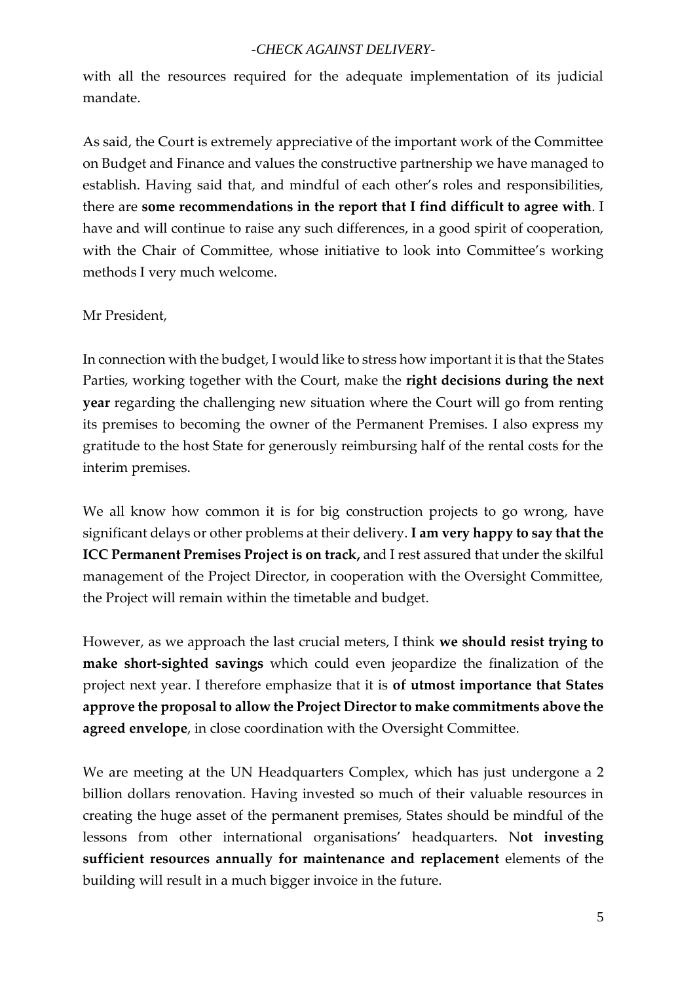with all the resources required for the adequate implementation of its judicial mandate.

As said, the Court is extremely appreciative of the important work of the Committee on Budget and Finance and values the constructive partnership we have managed to establish. Having said that, and mindful of each other's roles and responsibilities, there are **some recommendations in the report that I find difficult to agree with**. I have and will continue to raise any such differences, in a good spirit of cooperation, with the Chair of Committee, whose initiative to look into Committee's working methods I very much welcome.

#### Mr President,

In connection with the budget, I would like to stress how important it is that the States Parties, working together with the Court, make the **right decisions during the next year** regarding the challenging new situation where the Court will go from renting its premises to becoming the owner of the Permanent Premises. I also express my gratitude to the host State for generously reimbursing half of the rental costs for the interim premises.

We all know how common it is for big construction projects to go wrong, have significant delays or other problems at their delivery. **I am very happy to say that the ICC Permanent Premises Project is on track,** and I rest assured that under the skilful management of the Project Director, in cooperation with the Oversight Committee, the Project will remain within the timetable and budget.

However, as we approach the last crucial meters, I think **we should resist trying to make short-sighted savings** which could even jeopardize the finalization of the project next year. I therefore emphasize that it is **of utmost importance that States approve the proposal to allow the Project Director to make commitments above the agreed envelope**, in close coordination with the Oversight Committee.

We are meeting at the UN Headquarters Complex, which has just undergone a 2 billion dollars renovation. Having invested so much of their valuable resources in creating the huge asset of the permanent premises, States should be mindful of the lessons from other international organisations' headquarters. N**ot investing sufficient resources annually for maintenance and replacement** elements of the building will result in a much bigger invoice in the future.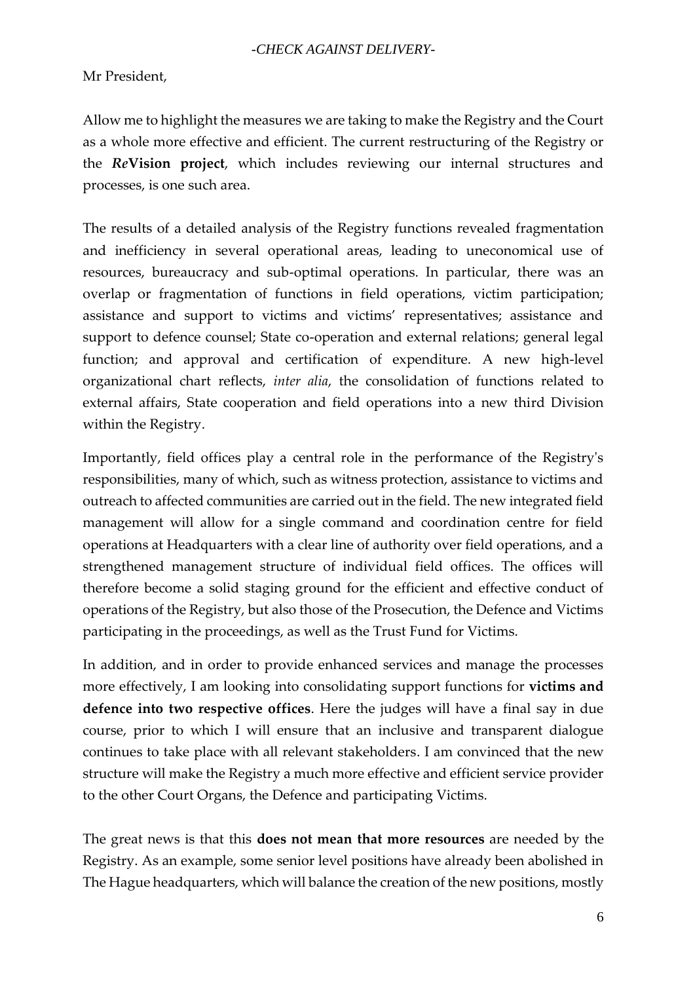Mr President,

Allow me to highlight the measures we are taking to make the Registry and the Court as a whole more effective and efficient. The current restructuring of the Registry or the *Re***Vision project**, which includes reviewing our internal structures and processes, is one such area.

The results of a detailed analysis of the Registry functions revealed fragmentation and inefficiency in several operational areas, leading to uneconomical use of resources, bureaucracy and sub-optimal operations. In particular, there was an overlap or fragmentation of functions in field operations, victim participation; assistance and support to victims and victims' representatives; assistance and support to defence counsel; State co-operation and external relations; general legal function; and approval and certification of expenditure. A new high-level organizational chart reflects, *inter alia*, the consolidation of functions related to external affairs, State cooperation and field operations into a new third Division within the Registry.

Importantly, field offices play a central role in the performance of the Registry's responsibilities, many of which, such as witness protection, assistance to victims and outreach to affected communities are carried out in the field. The new integrated field management will allow for a single command and coordination centre for field operations at Headquarters with a clear line of authority over field operations, and a strengthened management structure of individual field offices. The offices will therefore become a solid staging ground for the efficient and effective conduct of operations of the Registry, but also those of the Prosecution, the Defence and Victims participating in the proceedings, as well as the Trust Fund for Victims.

In addition, and in order to provide enhanced services and manage the processes more effectively, I am looking into consolidating support functions for **victims and defence into two respective offices**. Here the judges will have a final say in due course, prior to which I will ensure that an inclusive and transparent dialogue continues to take place with all relevant stakeholders. I am convinced that the new structure will make the Registry a much more effective and efficient service provider to the other Court Organs, the Defence and participating Victims.

The great news is that this **does not mean that more resources** are needed by the Registry. As an example, some senior level positions have already been abolished in The Hague headquarters, which will balance the creation of the new positions, mostly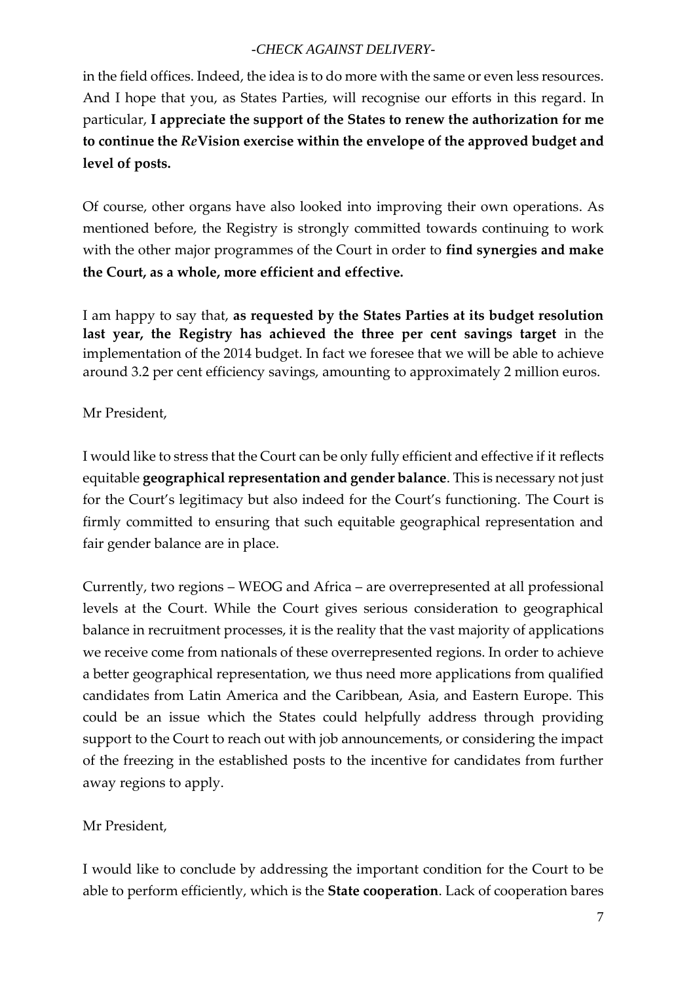in the field offices. Indeed, the idea is to do more with the same or even less resources. And I hope that you, as States Parties, will recognise our efforts in this regard. In particular, **I appreciate the support of the States to renew the authorization forme to continue the** *Re***Vision exercise within the envelope of the approved budget and level of posts.**

Of course, other organs have also looked into improving their own operations. As mentioned before, the Registry is strongly committed towards continuing to work with the other major programmes of the Court in order to **find synergies and make the Court, as a whole, more efficient and effective.**

I am happy to say that, **as requested by the States Parties at its budget resolution last year, the Registry has achieved the three per cent savings target** in the implementation of the 2014 budget. In fact we foresee that we will be able to achieve around 3.2 per cent efficiency savings, amounting to approximately 2 million euros.

# Mr President,

I would like to stress that the Court can be only fully efficient and effective if it reflects equitable **geographical representation and gender balance**. This is necessary not just for the Court's legitimacy but also indeed for the Court's functioning. The Court is firmly committed to ensuring that such equitable geographical representation and fair gender balance are in place.

Currently, two regions – WEOG and Africa – are overrepresented at all professional levels at the Court. While the Court gives serious consideration to geographical balance in recruitment processes, it is the reality that the vast majority of applications we receive come from nationals of these overrepresented regions. In order to achieve a better geographical representation, we thus need more applications from qualified candidates from Latin America and the Caribbean, Asia, and Eastern Europe. This could be an issue which the States could helpfully address through providing support to the Court to reach out with job announcements, or considering the impact of the freezing in the established posts to the incentive for candidates from further away regions to apply.

Mr President,

I would like to conclude by addressing the important condition for the Court to be able to perform efficiently, which is the **State cooperation**. Lack of cooperation bares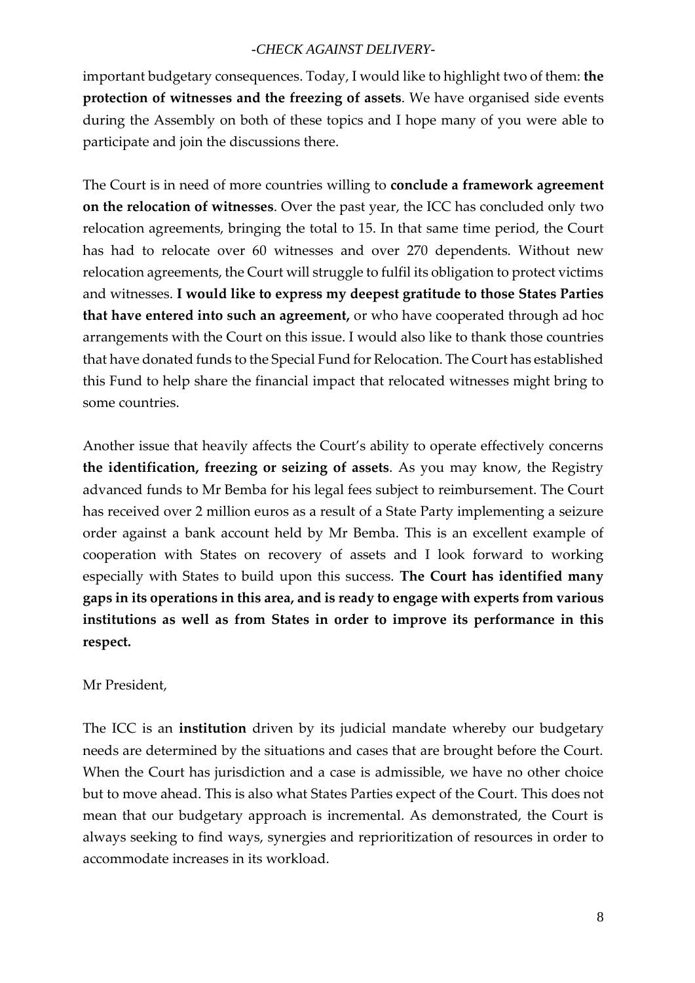important budgetary consequences. Today, I would like to highlight two of them: **the protection of witnesses and the freezing of assets**. We have organised side events during the Assembly on both of these topics and I hope many of you were able to participate and join the discussions there.

The Court is in need of more countries willing to **conclude a framework agreement on the relocation of witnesses**. Over the past year, the ICC has concluded only two relocation agreements, bringing the total to 15. In that same time period, the Court has had to relocate over 60 witnesses and over 270 dependents. Without new relocation agreements, the Court will struggle to fulfil its obligation to protect victims and witnesses. **I would like to express my deepest gratitude to those States Parties that have entered into such an agreement,** or who have cooperated through ad hoc arrangements with the Court on this issue. I would also like to thank those countries that have donated funds to the Special Fund for Relocation. The Court has established this Fund to help share the financial impact that relocated witnesses might bring to some countries.

Another issue that heavily affects the Court's ability to operate effectively concerns **the identification, freezing or seizing of assets**. As you may know, the Registry advanced funds to Mr Bemba for his legal fees subject to reimbursement. The Court has received over 2 million euros as a result of a State Party implementing a seizure order against a bank account held by Mr Bemba. This is an excellent example of cooperation with States on recovery of assets and I look forward to working especially with States to build upon this success. **The Court has identified many gaps in its operations in this area, and is ready to engage with experts from various institutions as well as from States in order to improve its performance in this respect.**

#### Mr President,

The ICC is an **institution** driven by its judicial mandate whereby our budgetary needs are determined by the situations and cases that are brought before the Court. When the Court has jurisdiction and a case is admissible, we have no other choice but to move ahead. This is also what States Parties expect of the Court. This does not mean that our budgetary approach is incremental. As demonstrated, the Court is always seeking to find ways, synergies and reprioritization of resources in order to accommodate increases in its workload.